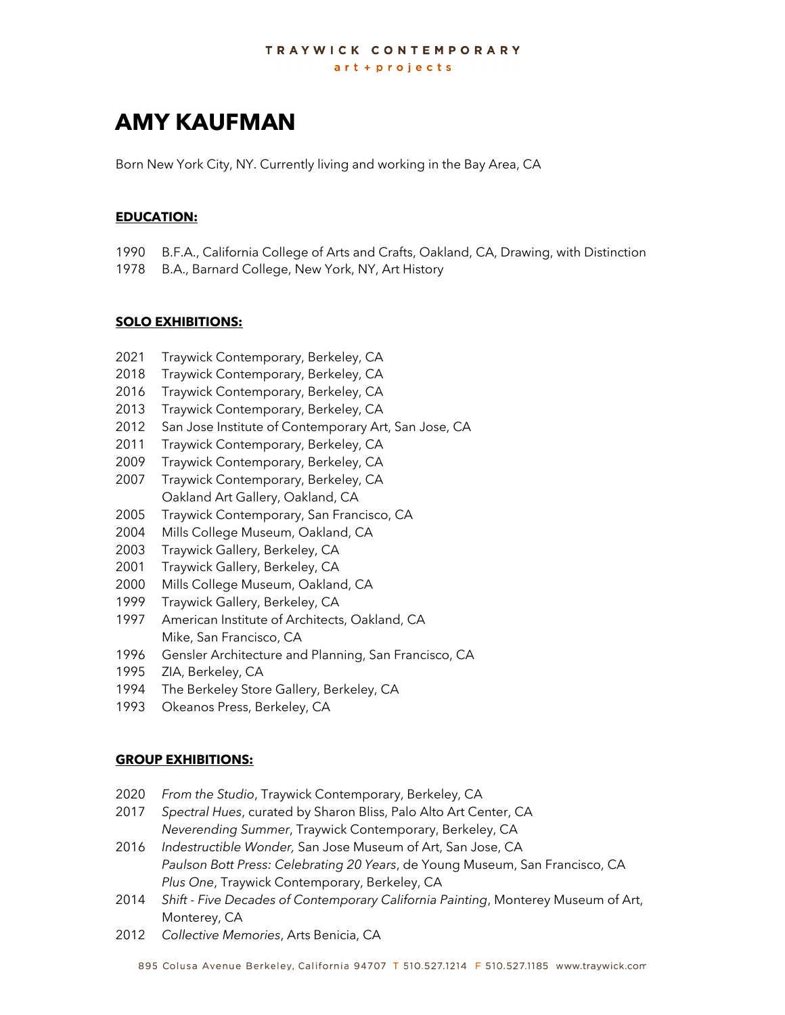# **AMY KAUFMAN**

Born New York City, NY. Currently living and working in the Bay Area, CA

# **EDUCATION:**

- 1990 B.F.A., California College of Arts and Crafts, Oakland, CA, Drawing, with Distinction
- 1978 B.A., Barnard College, New York, NY, Art History

## **SOLO EXHIBITIONS:**

- 2021 Traywick Contemporary, Berkeley, CA
- 2018 Traywick Contemporary, Berkeley, CA
- 2016 Traywick Contemporary, Berkeley, CA
- 2013 Traywick Contemporary, Berkeley, CA
- 2012 San Jose Institute of Contemporary Art, San Jose, CA
- 2011 Traywick Contemporary, Berkeley, CA
- 2009 Traywick Contemporary, Berkeley, CA
- 2007 Traywick Contemporary, Berkeley, CA Oakland Art Gallery, Oakland, CA
- 2005 Traywick Contemporary, San Francisco, CA
- 2004 Mills College Museum, Oakland, CA
- 2003 Traywick Gallery, Berkeley, CA
- 2001 Traywick Gallery, Berkeley, CA
- 2000 Mills College Museum, Oakland, CA
- 1999 Traywick Gallery, Berkeley, CA
- 1997 American Institute of Architects, Oakland, CA Mike, San Francisco, CA
- 1996 Gensler Architecture and Planning, San Francisco, CA
- 1995 ZIA, Berkeley, CA
- 1994 The Berkeley Store Gallery, Berkeley, CA
- 1993 Okeanos Press, Berkeley, CA

# **GROUP EXHIBITIONS:**

- 2020 *From the Studio*, Traywick Contemporary, Berkeley, CA
- 2017 *Spectral Hues*, curated by Sharon Bliss, Palo Alto Art Center, CA *Neverending Summer*, Traywick Contemporary, Berkeley, CA
- 2016 *Indestructible Wonder,* San Jose Museum of Art, San Jose, CA *Paulson Bott Press: Celebrating 20 Years*, de Young Museum, San Francisco, CA *Plus One*, Traywick Contemporary, Berkeley, CA
- 2014 *Shift - Five Decades of Contemporary California Painting*, Monterey Museum of Art, Monterey, CA
- 2012 *Collective Memories*, Arts Benicia, CA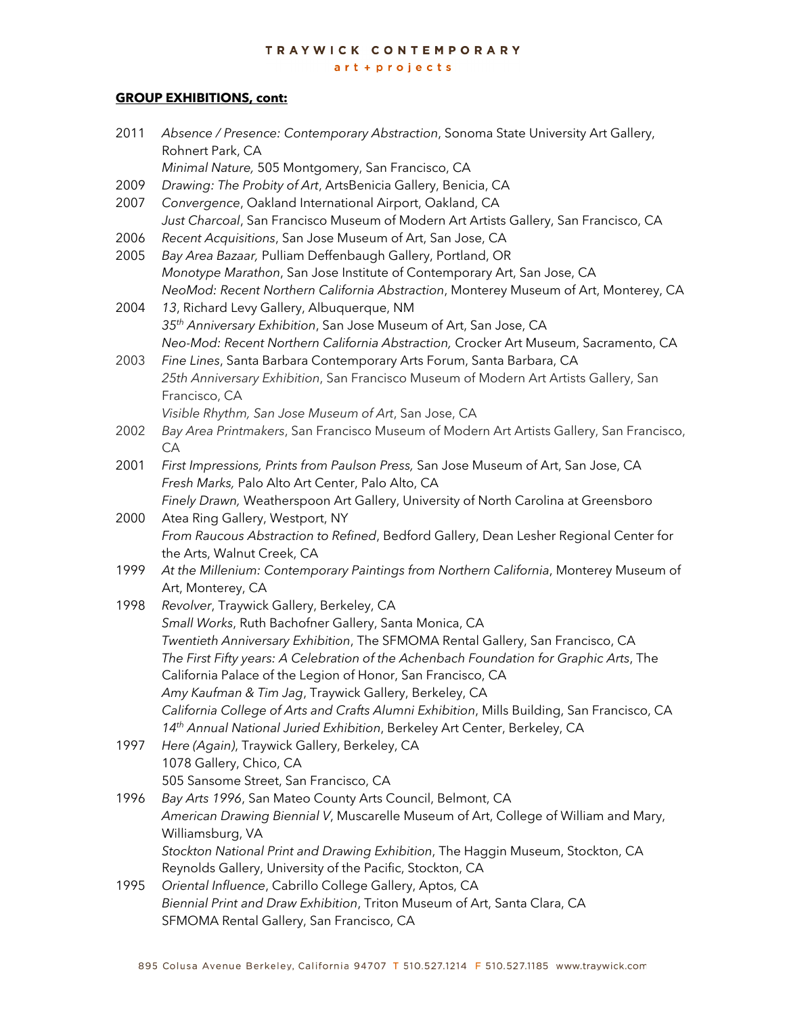# TRAYWICK CONTEMPORARY

#### art + projects

# **GROUP EXHIBITIONS, cont:**

| 2011 | Absence / Presence: Contemporary Abstraction, Sonoma State University Art Gallery,                                                               |
|------|--------------------------------------------------------------------------------------------------------------------------------------------------|
|      | Rohnert Park, CA<br>Minimal Nature, 505 Montgomery, San Francisco, CA                                                                            |
| 2009 | Drawing: The Probity of Art, ArtsBenicia Gallery, Benicia, CA                                                                                    |
| 2007 | Convergence, Oakland International Airport, Oakland, CA                                                                                          |
|      | Just Charcoal, San Francisco Museum of Modern Art Artists Gallery, San Francisco, CA                                                             |
| 2006 | Recent Acquisitions, San Jose Museum of Art, San Jose, CA                                                                                        |
| 2005 | Bay Area Bazaar, Pulliam Deffenbaugh Gallery, Portland, OR                                                                                       |
|      | Monotype Marathon, San Jose Institute of Contemporary Art, San Jose, CA                                                                          |
|      | NeoMod: Recent Northern California Abstraction, Monterey Museum of Art, Monterey, CA                                                             |
| 2004 | 13, Richard Levy Gallery, Albuquerque, NM                                                                                                        |
|      | 35 <sup>th</sup> Anniversary Exhibition, San Jose Museum of Art, San Jose, CA                                                                    |
|      | Neo-Mod: Recent Northern California Abstraction, Crocker Art Museum, Sacramento, CA                                                              |
| 2003 | Fine Lines, Santa Barbara Contemporary Arts Forum, Santa Barbara, CA                                                                             |
|      | 25th Anniversary Exhibition, San Francisco Museum of Modern Art Artists Gallery, San                                                             |
|      | Francisco, CA                                                                                                                                    |
|      | Visible Rhythm, San Jose Museum of Art, San Jose, CA                                                                                             |
| 2002 | Bay Area Printmakers, San Francisco Museum of Modern Art Artists Gallery, San Francisco,                                                         |
|      | CA                                                                                                                                               |
| 2001 | First Impressions, Prints from Paulson Press, San Jose Museum of Art, San Jose, CA                                                               |
|      | Fresh Marks, Palo Alto Art Center, Palo Alto, CA                                                                                                 |
|      | Finely Drawn, Weatherspoon Art Gallery, University of North Carolina at Greensboro                                                               |
| 2000 | Atea Ring Gallery, Westport, NY                                                                                                                  |
|      | From Raucous Abstraction to Refined, Bedford Gallery, Dean Lesher Regional Center for                                                            |
|      | the Arts, Walnut Creek, CA                                                                                                                       |
| 1999 | At the Millenium: Contemporary Paintings from Northern California, Monterey Museum of                                                            |
|      | Art, Monterey, CA                                                                                                                                |
| 1998 | Revolver, Traywick Gallery, Berkeley, CA                                                                                                         |
|      | Small Works, Ruth Bachofner Gallery, Santa Monica, CA                                                                                            |
|      | Twentieth Anniversary Exhibition, The SFMOMA Rental Gallery, San Francisco, CA                                                                   |
|      | The First Fifty years: A Celebration of the Achenbach Foundation for Graphic Arts, The                                                           |
|      | California Palace of the Legion of Honor, San Francisco, CA                                                                                      |
|      | Amy Kaufman & Tim Jag, Traywick Gallery, Berkeley, CA                                                                                            |
|      | California College of Arts and Crafts Alumni Exhibition, Mills Building, San Francisco, CA                                                       |
|      | 14th Annual National Juried Exhibition, Berkeley Art Center, Berkeley, CA                                                                        |
| 1997 | Here (Again), Traywick Gallery, Berkeley, CA                                                                                                     |
|      | 1078 Gallery, Chico, CA                                                                                                                          |
|      | 505 Sansome Street, San Francisco, CA                                                                                                            |
| 1996 | Bay Arts 1996, San Mateo County Arts Council, Belmont, CA<br>American Drawing Biennial V, Muscarelle Museum of Art, College of William and Mary, |
|      | Williamsburg, VA                                                                                                                                 |
|      | Stockton National Print and Drawing Exhibition, The Haggin Museum, Stockton, CA                                                                  |
|      | Reynolds Gallery, University of the Pacific, Stockton, CA                                                                                        |
| 1995 | Oriental Influence, Cabrillo College Gallery, Aptos, CA                                                                                          |
|      | Biennial Print and Draw Exhibition, Triton Museum of Art, Santa Clara, CA                                                                        |
|      | SFMOMA Rental Gallery, San Francisco, CA                                                                                                         |
|      |                                                                                                                                                  |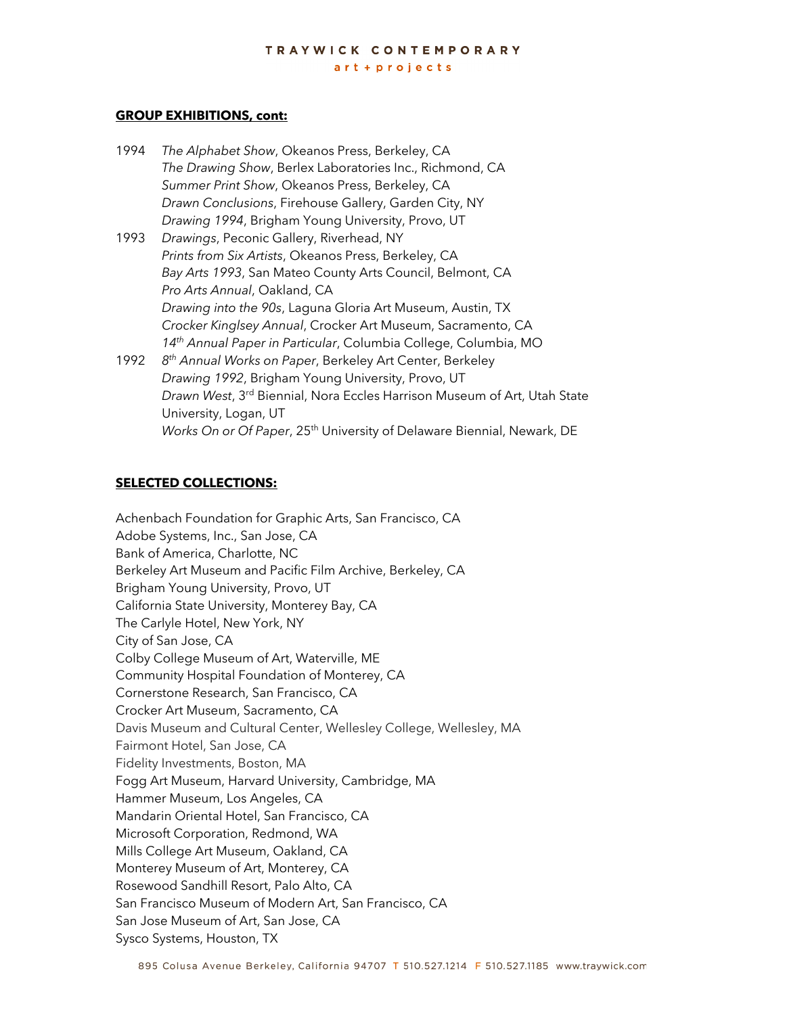# **GROUP EXHIBITIONS, cont:**

- 1994 *The Alphabet Show*, Okeanos Press, Berkeley, CA *The Drawing Show*, Berlex Laboratories Inc., Richmond, CA *Summer Print Show*, Okeanos Press, Berkeley, CA *Drawn Conclusions*, Firehouse Gallery, Garden City, NY *Drawing 1994*, Brigham Young University, Provo, UT
- 1993 *Drawings*, Peconic Gallery, Riverhead, NY *Prints from Six Artists*, Okeanos Press, Berkeley, CA *Bay Arts 1993*, San Mateo County Arts Council, Belmont, CA *Pro Arts Annual*, Oakland, CA *Drawing into the 90s*, Laguna Gloria Art Museum, Austin, TX *Crocker Kinglsey Annual*, Crocker Art Museum, Sacramento, CA *14th Annual Paper in Particular*, Columbia College, Columbia, MO
- 1992 *8th Annual Works on Paper*, Berkeley Art Center, Berkeley *Drawing 1992*, Brigham Young University, Provo, UT *Drawn West*, 3rd Biennial, Nora Eccles Harrison Museum of Art, Utah State University, Logan, UT *Works On or Of Paper*, 25<sup>th</sup> University of Delaware Biennial, Newark, DE

# **SELECTED COLLECTIONS:**

Achenbach Foundation for Graphic Arts, San Francisco, CA Adobe Systems, Inc., San Jose, CA Bank of America, Charlotte, NC Berkeley Art Museum and Pacific Film Archive, Berkeley, CA Brigham Young University, Provo, UT California State University, Monterey Bay, CA The Carlyle Hotel, New York, NY City of San Jose, CA Colby College Museum of Art, Waterville, ME Community Hospital Foundation of Monterey, CA Cornerstone Research, San Francisco, CA Crocker Art Museum, Sacramento, CA Davis Museum and Cultural Center, Wellesley College, Wellesley, MA Fairmont Hotel, San Jose, CA Fidelity Investments, Boston, MA Fogg Art Museum, Harvard University, Cambridge, MA Hammer Museum, Los Angeles, CA Mandarin Oriental Hotel, San Francisco, CA Microsoft Corporation, Redmond, WA Mills College Art Museum, Oakland, CA Monterey Museum of Art, Monterey, CA Rosewood Sandhill Resort, Palo Alto, CA San Francisco Museum of Modern Art, San Francisco, CA San Jose Museum of Art, San Jose, CA Sysco Systems, Houston, TX